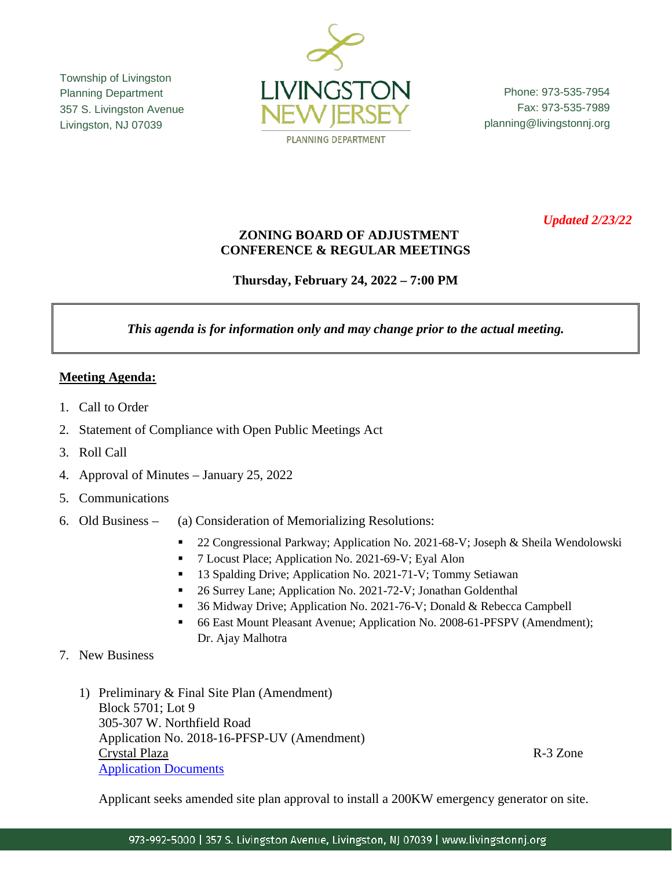Township of Livingston Planning Department 357 S. Livingston Avenue Livingston, NJ 07039



Phone: 973-535-7954 Fax: 973-535-7989 planning@livingstonnj.org

*Updated 2/23/22*

## **ZONING BOARD OF ADJUSTMENT CONFERENCE & REGULAR MEETINGS**

**Thursday, February 24, 2022 – 7:00 PM**

*This agenda is for information only and may change prior to the actual meeting.*

## **Meeting Agenda:**

- 1. Call to Order
- 2. Statement of Compliance with Open Public Meetings Act
- 3. Roll Call
- 4. Approval of Minutes January 25, 2022
- 5. Communications
- 6. Old Business (a) Consideration of Memorializing Resolutions:
	- <sup>22</sup> Congressional Parkway; Application No. 2021-68-V; Joseph & Sheila Wendolowski
	- 7 Locust Place; Application No. 2021-69-V; Eyal Alon
	- <sup>13</sup> Spalding Drive; Application No. 2021-71-V; Tommy Setiawan
	- 26 Surrey Lane; Application No. 2021-72-V; Jonathan Goldenthal
	- 36 Midway Drive; Application No. 2021-76-V; Donald & Rebecca Campbell
	- 66 East Mount Pleasant Avenue; Application No. 2008-61-PFSPV (Amendment); Dr. Ajay Malhotra
- 7. New Business
	- 1) Preliminary & Final Site Plan (Amendment) Block 5701; Lot 9 305-307 W. Northfield Road Application No. 2018-16-PFSP-UV (Amendment) Crystal Plaza R-3 Zone [Application Documents](https://www.livingstonnj.org/DocumentCenter/View/13260/Crystal-Plaza---Application-Docs)

Applicant seeks amended site plan approval to install a 200KW emergency generator on site.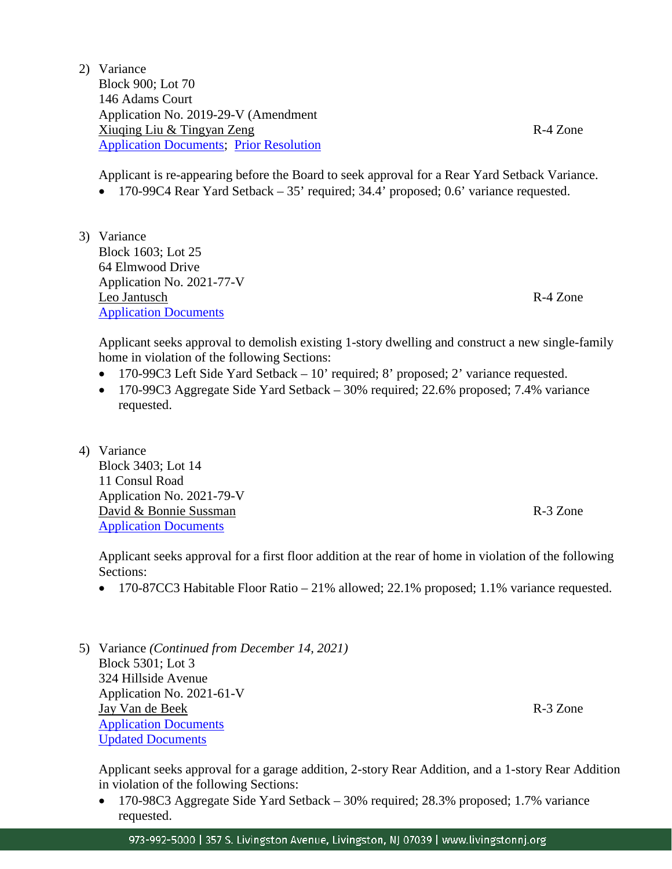2) Variance Block 900; Lot 70 146 Adams Court Application No. 2019-29-V (Amendment Xiuqing Liu & Tingyan Zeng R-4 Zone [Application Documents;](https://www.livingstonnj.org/DocumentCenter/View/13258/146-Adams-Court---Application-Docs) [Prior Resolution](https://www.livingstonnj.org/DocumentCenter/View/13281/Res-146-Adams-Court---Zeng-Liu---2021-29-V---08-24-2021)

Applicant is re-appearing before the Board to seek approval for a Rear Yard Setback Variance.

- 170-99C4 Rear Yard Setback 35' required; 34.4' proposed; 0.6' variance requested.
- 3) Variance Block 1603; Lot 25 64 Elmwood Drive Application No. 2021-77-V Leo Jantusch R-4 Zone [Application Documents](https://www.livingstonnj.org/DocumentCenter/View/13257/64-Elmwood-Drive---Application-Docs)

Applicant seeks approval to demolish existing 1-story dwelling and construct a new single-family home in violation of the following Sections:

- 170-99C3 Left Side Yard Setback 10' required; 8' proposed; 2' variance requested.
- 170-99C3 Aggregate Side Yard Setback 30% required; 22.6% proposed; 7.4% variance requested.
- 4) Variance Block 3403; Lot 14 11 Consul Road Application No. 2021-79-V David & Bonnie Sussman R-3 Zone [Application Documents](https://www.livingstonnj.org/DocumentCenter/View/13259/11-Consul-Road---Application-Docs)

Applicant seeks approval for a first floor addition at the rear of home in violation of the following Sections:

- 170-87CC3 Habitable Floor Ratio 21% allowed; 22.1% proposed; 1.1% variance requested.
- 5) Variance *(Continued from December 14, 2021)* Block 5301; Lot 3 324 Hillside Avenue Application No. 2021-61-V Jay Van de Beek R-3 Zone [Application Documents](http://livingstonnj.org/DocumentCenter/View/12876/324-Hillside-Avenue---Application-Docs) [Updated Documents](https://www.livingstonnj.org/DocumentCenter/View/13280/324-Hillside-Avenue---Updated-Denial-Plans)

Applicant seeks approval for a garage addition, 2-story Rear Addition, and a 1-story Rear Addition in violation of the following Sections:

• 170-98C3 Aggregate Side Yard Setback – 30% required; 28.3% proposed; 1.7% variance requested.